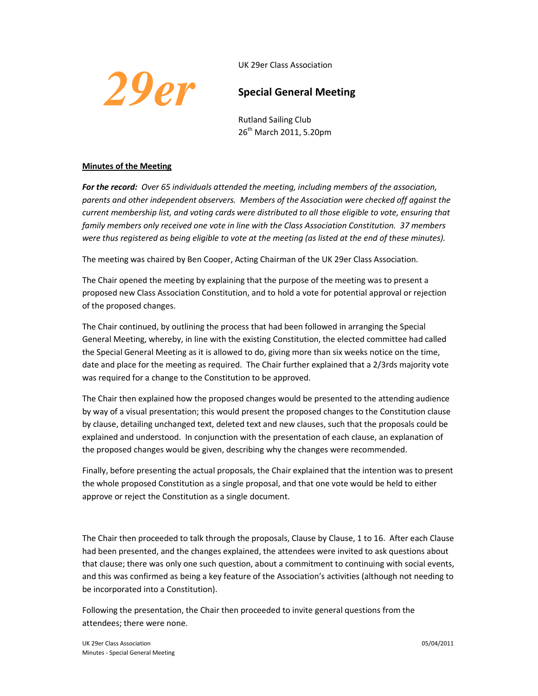UK 29er Class Association



## **Special General Meeting**

Rutland Sailing Club 26<sup>th</sup> March 2011, 5.20pm

## **Minutes of the Meeting**

*For the record: Over 65 individuals attended the meeting, including members of the association, parents and other independent observers. Members of the Association were checked off against the current membership list, and voting cards were distributed to all those eligible to vote, ensuring that family members only received one vote in line with the Class Association Constitution. 37 members were thus registered as being eligible to vote at the meeting (as listed at the end of these minutes).*

The meeting was chaired by Ben Cooper, Acting Chairman of the UK 29er Class Association.

The Chair opened the meeting by explaining that the purpose of the meeting was to present a proposed new Class Association Constitution, and to hold a vote for potential approval or rejection of the proposed changes.

The Chair continued, by outlining the process that had been followed in arranging the Special General Meeting, whereby, in line with the existing Constitution, the elected committee had called the Special General Meeting as it is allowed to do, giving more than six weeks notice on the time, date and place for the meeting as required. The Chair further explained that a 2/3rds majority vote was required for a change to the Constitution to be approved.

The Chair then explained how the proposed changes would be presented to the attending audience by way of a visual presentation; this would present the proposed changes to the Constitution clause by clause, detailing unchanged text, deleted text and new clauses, such that the proposals could be explained and understood. In conjunction with the presentation of each clause, an explanation of the proposed changes would be given, describing why the changes were recommended.

Finally, before presenting the actual proposals, the Chair explained that the intention was to present the whole proposed Constitution as a single proposal, and that one vote would be held to either approve or reject the Constitution as a single document.

The Chair then proceeded to talk through the proposals, Clause by Clause, 1 to 16. After each Clause had been presented, and the changes explained, the attendees were invited to ask questions about that clause; there was only one such question, about a commitment to continuing with social events, and this was confirmed as being a key feature of the Association's activities (although not needing to be incorporated into a Constitution).

Following the presentation, the Chair then proceeded to invite general questions from the attendees; there were none.